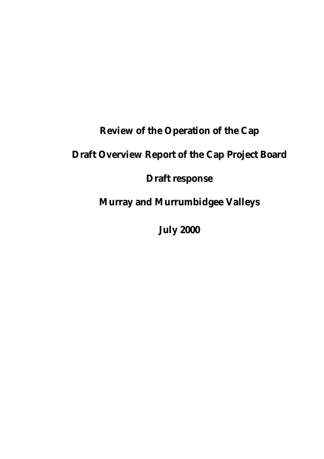# **Review of the Operation of the Cap**

# **Draft Overview Report of the Cap Project Board**

# **Draft response**

**Murray and Murrumbidgee Valleys**

**July 2000**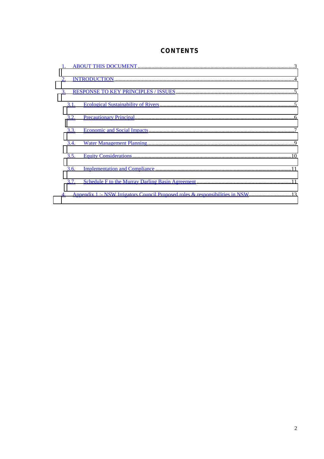## **CONTENTS**

| 1.        |      |                                                                                |  |
|-----------|------|--------------------------------------------------------------------------------|--|
| 2.        |      |                                                                                |  |
| <u>3.</u> |      |                                                                                |  |
|           | 3.1. |                                                                                |  |
|           | 3.2. |                                                                                |  |
|           | 3.3. |                                                                                |  |
|           | 3.4. |                                                                                |  |
|           | 3.5. |                                                                                |  |
|           | 3.6. |                                                                                |  |
|           | 3.7. |                                                                                |  |
| <u>4.</u> |      | Appendix 1:- NSW Irrigators Council Proposed roles & responsibilities in NSW13 |  |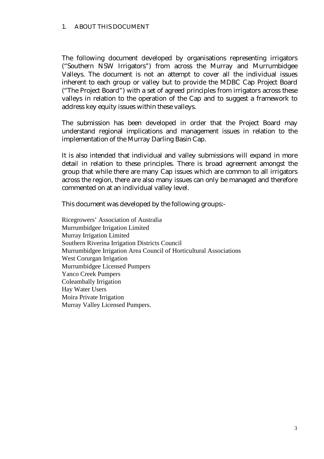#### <span id="page-2-0"></span>1. ABOUT THIS DOCUMENT

The following document developed by organisations representing irrigators ("Southern NSW Irrigators") from across the Murray and Murrumbidgee Valleys. The document is not an attempt to cover all the individual issues inherent to each group or valley but to provide the MDBC Cap Project Board ("The Project Board") with a set of agreed principles from irrigators across these valleys in relation to the operation of the Cap and to suggest a framework to address key equity issues within these valleys.

The submission has been developed in order that the Project Board may understand regional implications and management issues in relation to the implementation of the Murray Darling Basin Cap.

It is also intended that individual and valley submissions will expand in more detail in relation to these principles. There is broad agreement amongst the group that while there are many Cap issues which are common to all irrigators across the region, there are also many issues can only be managed and therefore commented on at an individual valley level.

This document was developed by the following groups:-

Ricegrowers' Association of Australia Murrumbidgee Irrigation Limited Murray Irrigation Limited Southern Riverina Irrigation Districts Council Murrumbidgee Irrigation Area Council of Horticultural Associations West Corurgan Irrigation Murrumbidgee Licensed Pumpers Yanco Creek Pumpers Coleambally Irrigation Hay Water Users Moira Private Irrigation Murray Valley Licensed Pumpers.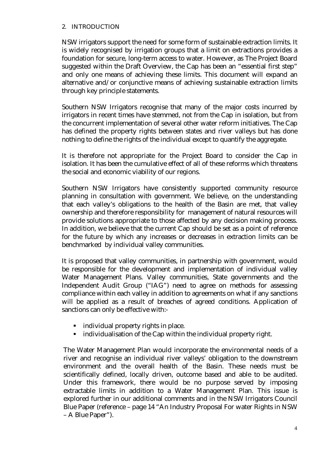#### <span id="page-3-0"></span>2. INTRODUCTION

NSW irrigators support the need for some form of sustainable extraction limits. It is widely recognised by irrigation groups that a limit on extractions provides a foundation for secure, long-term access to water. However, as The Project Board suggested within the Draft Overview, the Cap has been an "essential first step" and only one means of achieving these limits. This document will expand an alternative and/or conjunctive means of achieving sustainable extraction limits through key principle statements.

Southern NSW Irrigators recognise that many of the major costs incurred by irrigators in recent times have stemmed, not from the Cap in isolation, but from the concurrent implementation of several other water reform initiatives. The Cap has defined the property rights between states and river valleys but has done nothing to define the rights of the individual except to quantify the aggregate.

It is therefore not appropriate for the Project Board to consider the Cap in isolation. It has been the cumulative effect of all of these reforms which threatens the social and economic viability of our regions.

Southern NSW Irrigators have consistently supported community resource planning in consultation with government. We believe, on the understanding that each valley's obligations to the health of the Basin are met, that valley ownership and therefore responsibility for management of natural resources will provide solutions appropriate to those affected by any decision making process. In addition, we believe that the current Cap should be set as a point of reference for the future by which any increases or decreases in extraction limits can be benchmarked by individual valley communities.

It is proposed that valley communities, in partnership with government, would be responsible for the development and implementation of individual valley Water Management Plans. Valley communities, State governments and the Independent Audit Group ("IAG") need to agree on methods for assessing compliance within each valley in addition to agreements on what if any sanctions will be applied as a result of breaches of agreed conditions. Application of sanctions can only be effective with:-

- **I** individual property rights in place.
- ! individualisation of the Cap within the individual property right.

The Water Management Plan would incorporate the environmental needs of a river and recognise an individual river valleys' obligation to the downstream environment and the overall health of the Basin. These needs must be scientifically defined, locally driven, outcome based and able to be audited. Under this framework, there would be no purpose served by imposing extractable limits in addition to a Water Management Plan. This issue is explored further in our additional comments and in the NSW Irrigators Council Blue Paper (reference – page 14 "An Industry Proposal For water Rights in NSW – A Blue Paper").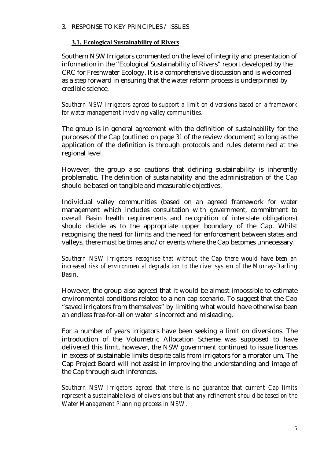#### <span id="page-4-0"></span>3. RESPONSE TO KEY PRINCIPLES / ISSUES

#### **3.1. Ecological Sustainability of Rivers**

Southern NSW Irrigators commented on the level of integrity and presentation of information in the "Ecological Sustainability of Rivers" report developed by the CRC for Freshwater Ecology. It is a comprehensive discussion and is welcomed as a step forward in ensuring that the water reform process is underpinned by credible science.

*Southern NSW Irrigators agreed to support a limit on diversions based on a framework for water management involving valley communities*.

The group is in general agreement with the definition of sustainability for the purposes of the Cap (outlined on page 31 of the review document) so long as the application of the definition is through protocols and rules determined at the regional level.

However, the group also cautions that defining sustainability is inherently problematic. The definition of sustainability and the administration of the Cap should be based on tangible and measurable objectives.

Individual valley communities (based on an agreed framework for water management which includes consultation with government, commitment to overall Basin health requirements and recognition of interstate obligations) should decide as to the appropriate upper boundary of the Cap. Whilst recognising the need for limits and the need for enforcement between states and valleys, there must be times and/or events where the Cap becomes unnecessary.

*Southern NSW Irrigators recognise that without the Cap there would have been an increased risk of environmental degradation to the river system of the Murray-Darling Basin*.

However, the group also agreed that it would be almost impossible to estimate environmental conditions related to a non-cap scenario. To suggest that the Cap "saved irrigators from themselves" by limiting what would have otherwise been an endless free-for-all on water is incorrect and misleading.

For a number of years irrigators have been seeking a limit on diversions. The introduction of the Volumetric Allocation Scheme was supposed to have delivered this limit, however, the NSW government continued to issue licences in excess of sustainable limits despite calls from irrigators for a moratorium. The Cap Project Board will not assist in improving the understanding and image of the Cap through such inferences.

*Southern NSW Irrigators agreed that there is no guarantee that current Cap limits represent a sustainable level of diversions but that any refinement should be based on the Water Management Planning process in NSW*.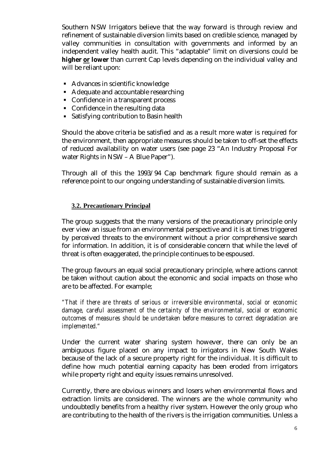<span id="page-5-0"></span>Southern NSW Irrigators believe that the way forward is through review and refinement of sustainable diversion limits based on credible science, managed by valley communities in consultation with governments and informed by an independent valley health audit. This "adaptable" limit on diversions could be **higher or lower** than current Cap levels depending on the individual valley and will be reliant upon:

- ! Advances in scientific knowledge
- ! Adequate and accountable researching
- ! Confidence in a transparent process
- Confidence in the resulting data
- ! Satisfying contribution to Basin health

Should the above criteria be satisfied and as a result more water is required for the environment, then appropriate measures should be taken to off-set the effects of reduced availability on water users (see page 23 "An Industry Proposal For water Rights in NSW – A Blue Paper").

Through all of this the 1993/94 Cap benchmark figure should remain as a reference point to our ongoing understanding of sustainable diversion limits.

#### **3.2. Precautionary Principal**

The group suggests that the many versions of the precautionary principle only ever view an issue from an environmental perspective and it is at times triggered by perceived threats to the environment without a prior comprehensive search for information. In addition, it is of considerable concern that while the level of threat is often exaggerated, the principle continues to be espoused.

The group favours an equal social precautionary principle, where actions cannot be taken without caution about the economic and social impacts on those who are to be affected. For example;

*"That if there are threats of serious or irreversible environmental, social or economic damage, careful assessment of the certainty of the environmental, social or economic outcomes of measures should be undertaken before measures to correct degradation are implemented."*

Under the current water sharing system however, there can only be an ambiguous figure placed on any impact to irrigators in New South Wales because of the lack of a secure property right for the individual. It is difficult to define how much potential earning capacity has been eroded from irrigators while property right and equity issues remains unresolved.

Currently, there are obvious winners and losers when environmental flows and extraction limits are considered. The winners are the whole community who undoubtedly benefits from a healthy river system. However the only group who are contributing to the health of the rivers is the irrigation communities. Unless a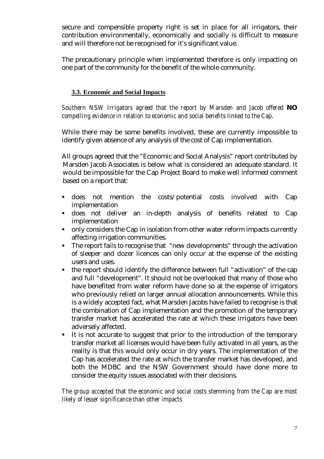<span id="page-6-0"></span>secure and compensible property right is set in place for all irrigators, their contribution environmentally, economically and socially is difficult to measure and will therefore not be recognised for it's significant value.

The precautionary principle when implemented therefore is only impacting on one part of the community for the benefit of the whole community.

### **3.3. Economic and Social Impacts**

*Southern NSW Irrigators agreed that the report by Marsden and Jacob offered NO compelling evidence in relation to economic and social benefits linked to the Cap*.

While there may be some benefits involved, these are currently impossible to identify given absence of any analysis of the cost of Cap implementation.

All groups agreed that the "Economic and Social Analysis" report contributed by Marsden Jacob Associates is below what is considered an adequate standard. It would be impossible for the Cap Project Board to make well informed comment based on a report that:

- ! does not mention the costs/potential costs involved with Cap implementation
- ! does not deliver an in-depth analysis of benefits related to Cap implementation
- ! only considers the Cap in isolation from other water reform impacts currently affecting irrigation communities.
- ! The report fails to recognise that "new developments" through the activation of sleeper and dozer licences can only occur at the expense of the existing users and uses.
- ! the report should identify the difference between full "activation" of the cap and full "development". It should not be overlooked that many of those who have benefited from water reform have done so at the expense of irrigators who previously relied on larger annual allocation announcements. While this is a widely accepted fact, what Marsden Jacobs have failed to recognise is that the combination of Cap implementation and the promotion of the temporary transfer market has accelerated the rate at which these irrigators have been adversely affected.
- It is not accurate to suggest that prior to the introduction of the temporary transfer market all licenses would have been fully activated in all years, as the reality is that this would only occur in dry years. The implementation of the Cap has accelerated the rate at which the transfer market has developed, and both the MDBC and the NSW Government should have done more to consider the equity issues associated with their decisions.

*The group accepted that the economic and social costs stemming from the Cap are most likely of lesser significance than other impacts*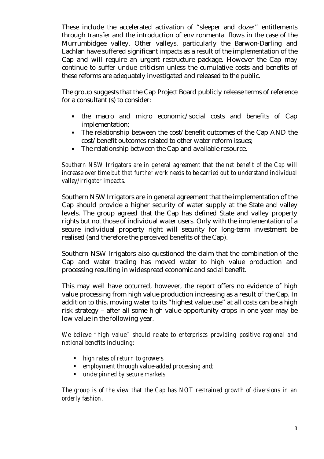These include the accelerated activation of "sleeper and dozer" entitlements through transfer and the introduction of environmental flows in the case of the Murrumbidgee valley. Other valleys, particularly the Barwon-Darling and Lachlan have suffered significant impacts as a result of the implementation of the Cap and will require an urgent restructure package. However the Cap may continue to suffer undue criticism unless the cumulative costs and benefits of these reforms are adequately investigated and released to the public.

The group suggests that the Cap Project Board publicly release terms of reference for a consultant (s) to consider:

- ! the macro and micro economic/social costs and benefits of Cap implementation;
- ! The relationship between the cost/benefit outcomes of the Cap AND the cost/benefit outcomes related to other water reform issues;
- ! The relationship between the Cap and available resource.

*Southern NSW Irrigators are in general agreement that the net benefit of the Cap will increase over time but that further work needs to be carried out to understand individual valley/irrigator impacts.*

Southern NSW Irrigators are in general agreement that the implementation of the Cap should provide a higher security of water supply at the State and valley levels. The group agreed that the Cap has defined State and valley property rights but not those of individual water users. Only with the implementation of a secure individual property right will security for long-term investment be realised (and therefore the perceived benefits of the Cap).

Southern NSW Irrigators also questioned the claim that the combination of the Cap and water trading has moved water to high value production and processing resulting in widespread economic and social benefit.

This may well have occurred, however, the report offers no evidence of high value processing from high value production increasing as a result of the Cap. In addition to this, moving water to its "highest value use" at all costs can be a high risk strategy – after all some high value opportunity crops in one year may be low value in the following year.

*We believe "high value" should relate to enterprises providing positive regional and national benefits including:*

- ! *high rates of return to growers*
- ! *employment through value-added processing and;*
- ! *underpinned by secure markets*

*The group is of the view that the Cap has NOT restrained growth of diversions in an orderly fashion*.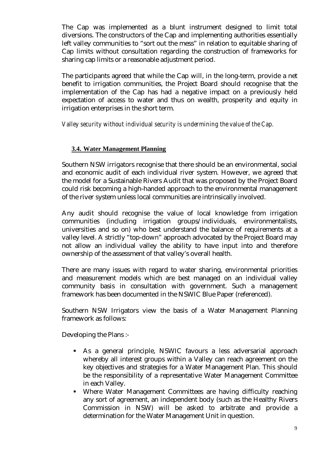<span id="page-8-0"></span>The Cap was implemented as a blunt instrument designed to limit total diversions. The constructors of the Cap and implementing authorities essentially left valley communities to "sort out the mess" in relation to equitable sharing of Cap limits without consultation regarding the construction of frameworks for sharing cap limits or a reasonable adjustment period.

The participants agreed that while the Cap will, in the long-term, provide a net benefit to irrigation communities, the Project Board should recognise that the implementation of the Cap has had a negative impact on a previously held expectation of access to water and thus on wealth, prosperity and equity in irrigation enterprises in the short term.

#### *Valley security without individual security is undermining the value of the Cap.*

#### **3.4. Water Management Planning**

Southern NSW irrigators recognise that there should be an environmental, social and economic audit of each individual river system. However, we agreed that the model for a Sustainable Rivers Audit that was proposed by the Project Board could risk becoming a high-handed approach to the environmental management of the river system unless local communities are intrinsically involved.

Any audit should recognise the value of local knowledge from irrigation communities (including irrigation groups/individuals, environmentalists, universities and so on) who best understand the balance of requirements at a valley level. A strictly "top-down" approach advocated by the Project Board may not allow an individual valley the ability to have input into and therefore ownership of the assessment of that valley's overall health.

There are many issues with regard to water sharing, environmental priorities and measurement models which are best managed on an individual valley community basis in consultation with government. Such a management framework has been documented in the NSWIC Blue Paper (referenced).

Southern NSW Irrigators view the basis of a Water Management Planning framework as follows:

Developing the Plans :-

- ! As a general principle, NSWIC favours a less adversarial approach whereby all interest groups within a Valley can reach agreement on the key objectives and strategies for a Water Management Plan. This should be the responsibility of a representative Water Management Committee in each Valley.
- ! Where Water Management Committees are having difficulty reaching any sort of agreement, an independent body (such as the Healthy Rivers Commission in NSW) will be asked to arbitrate and provide a determination for the Water Management Unit in question.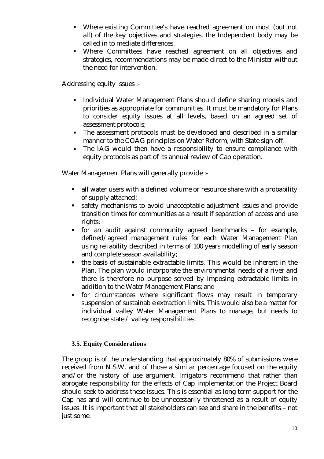- <span id="page-9-0"></span>! Where existing Committee's have reached agreement on most (but not all) of the key objectives and strategies, the Independent body may be called in to mediate differences.
- ! Where Committees have reached agreement on all objectives and strategies, recommendations may be made direct to the Minister without the need for intervention.

Addressing equity issues :-

- ! Individual Water Management Plans should define sharing models and priorities as appropriate for communities. It must be mandatory for Plans to consider equity issues at all levels, based on an agreed set of assessment protocols;
- ! The assessment protocols must be developed and described in a similar manner to the COAG principles on Water Reform, with State sign-off.
- ! The IAG would then have a responsibility to ensure compliance with equity protocols as part of its annual review of Cap operation.

Water Management Plans will generally provide :-

- ! all water users with a defined volume or resource share with a probability of supply attached;
- ! safety mechanisms to avoid unacceptable adjustment issues and provide transition times for communities as a result if separation of access and use rights;
- ! for an audit against community agreed benchmarks for example, defined/agreed management rules for each Water Management Plan using reliability described in terms of 100 years modelling of early season and complete season availability;
- ! the basis of sustainable extractable limits. This would be inherent in the Plan. The plan would incorporate the environmental needs of a river and there is therefore no purpose served by imposing extractable limits in addition to the Water Management Plans; and
- ! for circumstances where significant flows may result in temporary suspension of sustainable extraction limits. This would also be a matter for individual valley Water Management Plans to manage, but needs to recognise state / valley responsibilities.

#### **3.5. Equity Considerations**

The group is of the understanding that approximately 80% of submissions were received from N.S.W. and of those a similar percentage focused on the equity and/or the history of use argument. Irrigators recommend that rather than abrogate responsibility for the effects of Cap implementation the Project Board should seek to address these issues. This is essential as long term support for the Cap has and will continue to be unnecessarily threatened as a result of equity issues. It is important that all stakeholders can see and share in the benefits – not just some.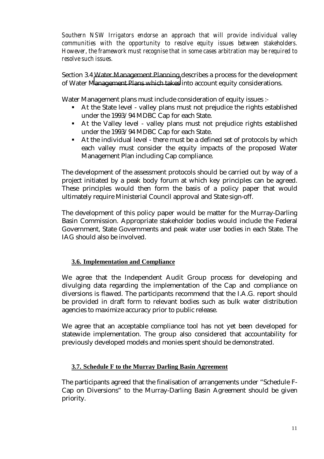<span id="page-10-0"></span>*Southern NSW Irrigators endorse an approach that will provide individual valley communities with the opportunity to resolve equity issues between stakeholders. However, the framework must recognise that in some cases arbitration may be required to resolve such issues.*

Section 3.4 Water Management Planning describes a process for the development of Water [Management Plans which takes](#page-8-0) into account equity considerations.

Water Management plans must include consideration of equity issues :-

- ! At the State level valley plans must not prejudice the rights established under the 1993/94 MDBC Cap for each State.
- ! At the Valley level valley plans must not prejudice rights established under the 1993/94 MDBC Cap for each State.
- ! At the individual level there must be a defined set of protocols by which each valley must consider the equity impacts of the proposed Water Management Plan including Cap compliance.

The development of the assessment protocols should be carried out by way of a project initiated by a peak body forum at which key principles can be agreed. These principles would then form the basis of a policy paper that would ultimately require Ministerial Council approval and State sign-off.

The development of this policy paper would be matter for the Murray-Darling Basin Commission. Appropriate stakeholder bodies would include the Federal Government, State Governments and peak water user bodies in each State. The IAG should also be involved.

## **3.6. Implementation and Compliance**

We agree that the Independent Audit Group process for developing and divulging data regarding the implementation of the Cap and compliance on diversions is flawed. The participants recommend that the I.A.G. report should be provided in draft form to relevant bodies such as bulk water distribution agencies to maximize accuracy prior to public release.

We agree that an acceptable compliance tool has not yet been developed for statewide implementation. The group also considered that accountability for previously developed models and monies spent should be demonstrated.

#### **3.7. Schedule F to the Murray Darling Basin Agreement**

The participants agreed that the finalisation of arrangements under "Schedule F-Cap on Diversions" to the Murray-Darling Basin Agreement should be given priority.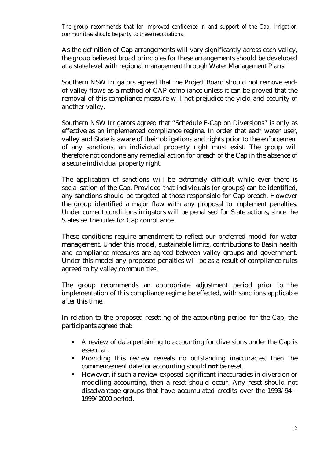*The group recommends that for improved confidence in and support of the Cap, irrigation communities should be party to these negotiations*.

As the definition of Cap arrangements will vary significantly across each valley, the group believed broad principles for these arrangements should be developed at a state level with regional management through Water Management Plans.

Southern NSW Irrigators agreed that the Project Board should not remove endof-valley flows as a method of CAP compliance unless it can be proved that the removal of this compliance measure will not prejudice the yield and security of another valley.

Southern NSW Irrigators agreed that "Schedule F-Cap on Diversions" is only as effective as an implemented compliance regime. In order that each water user, valley and State is aware of their obligations and rights prior to the enforcement of any sanctions, an individual property right must exist. The group will therefore not condone any remedial action for breach of the Cap in the absence of a secure individual property right.

The application of sanctions will be extremely difficult while ever there is socialisation of the Cap. Provided that individuals (or groups) can be identified, any sanctions should be targeted at those responsible for Cap breach. However the group identified a major flaw with any proposal to implement penalties. Under current conditions irrigators will be penalised for State actions, since the States set the rules for Cap compliance.

These conditions require amendment to reflect our preferred model for water management. Under this model, sustainable limits, contributions to Basin health and compliance measures are agreed between valley groups and government. Under this model any proposed penalties will be as a result of compliance rules agreed to by valley communities.

The group recommends an appropriate adjustment period prior to the implementation of this compliance regime be effected, with sanctions applicable after this time.

In relation to the proposed resetting of the accounting period for the Cap, the participants agreed that:

- ! A review of data pertaining to accounting for diversions under the Cap is essential .
- ! Providing this review reveals no outstanding inaccuracies, then the commencement date for accounting should **not** be reset.
- ! However, if such a review exposed significant inaccuracies in diversion or modelling accounting, then a reset should occur. Any reset should not disadvantage groups that have accumulated credits over the 1993/94 – 1999/2000 period.